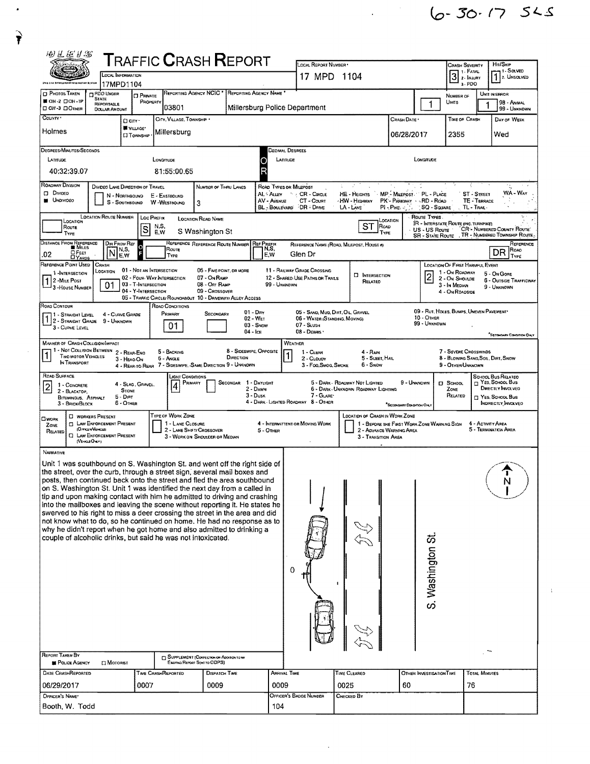$6 - 30.17$  525

| 1. FATAL<br>$\overline{\mathsf{3}}$<br>$\sqrt{1}$ 2. Unsolved<br>LOCAL INFORMATION<br>17 MPD 1104<br>2 - INJURY<br>a-PDO<br>17MPD1104<br>REPORTING AGENCY NCIC<br>REPORTING AGENCY NAME<br><b>D</b> PHOTOS TAKEN<br><b>O PDO UNDER</b><br>UNIT IN ERROR<br><b>O</b> PRIVATE<br>NUMBER OF<br><b>STATE</b><br>OH-2 DOH-IP<br>PROPERTY<br>Units<br>98 - ANIMAL<br>1<br>REPORTABLE<br>103801<br>Millersburg Police Department<br>DOH-3 DOTHER<br>99 - UNKNOWN<br><b>DOLLAR AMOUNT</b><br>COUNTY *<br>CITY, VILLAGE, TOWNSHIP<br>CRASH DATE *<br>Time of Crash<br>DAY OF WEEK<br>□ ситу-<br>VILLAGE*<br>Holmes<br>Millersburg<br>06/28/2017<br>2355<br>Wed<br><b>El TOWNSHIP</b><br>DEGREES/MINUTES/SECONDS<br>Decimal Degrees<br>LATITUDE<br>LONGITUDE<br>LATITUDE<br>LONGITUDE<br>R<br>40:32:39.07<br>81:55:00.65<br><b>ROADWAY DIVISION</b><br>ROAD TYPES OR MILEPOST<br>n.<br>DIVOED LANE DIRECTION OF TRAVEL<br>NUMBER OF THRU LANES<br><b>DIVIDED</b><br>WA - Way<br>CR - CIRCLE<br>MP - MILEPOST PL - PLACE<br>AL - ALLEY<br>$\kappa_{\rm{max}}$<br>HE - HEIGHTS<br>ST - STREET<br>N - Northbound<br>E - EASTBOUND<br><b>UNDIVIDEO</b><br>CT - Count<br>PK'- PARKWAY . RD - ROAD<br>TE - TERRACE<br>AV - AVENUE<br>∤HW - Highway<br>S - SOUTHBOUND<br>W-WESTBOUND<br>3<br>BL - BOULEVARD<br>DR - DRME<br>LA - LANE<br>$PI$ - $PI$ ike, $\partial_{\alpha}$ ).<br><b>SQ - SQUARE</b><br>TL - TRAIL<br><b>LOCATION ROUTE NUMBER</b><br>Route Types<br>LOC PREFIX<br><b>LOCATION ROAD NAME</b><br><b>LOCATION</b><br>LOCATION<br><b>IR - INTERSTATE ROUTE (INC. TURNPIKE)</b><br>ST<br>N,S,<br>ROAD<br>Route<br>S<br>CR'- NUMBERED COUNTY ROUTE.<br>US - US Route<br>S Washington St<br>E, W<br>TYPE<br>TYPE<br>, TR - NUMBERED TOWNSHIP ROUTE-<br><b>SR - State Route</b><br><b>DISTANCE FROM REPERENCE</b><br>DIR FROM REF<br>REFERENCE REFERENCE ROUTE NUMBER   REF PREFIX<br>REFERENCE NAME (ROAD, MILEPOST, HOUSE #)<br><b>B</b> Miles<br>Route<br>N,S,<br>TN,S,<br>Ro <sub>AO</sub><br>DR<br>OFEET<br>N<br>г<br>Glen Dr<br>.02<br>E.W<br>E,W<br>Type<br>Type<br><b>DYARDS</b><br>REFERENCE POINT USED<br>CRASH<br><b>LOCATION OF FIRST HARMFUL EVENT</b><br>01 - NOT AN INTERSECTION<br>11 - RAILWAY GRADE CROSSING<br>06 - FIVE POINT, OR MORE<br>LOCATION<br>1 - On ROADWAY<br>1-INTERSECTION<br>5 - On Gore<br>$\overline{2}$<br><b>D</b> INTERSECTION<br>02 - Four WAY INTERSECTION<br>07 - On RAMP<br>12 - SHARED-USE PATHS OR TRAILS<br>2 - On Shoulde<br>$12$ -Mile Post<br><b>6 - OUTSIDE TRAFFICWAY</b><br>RELATED<br>03 - T-INTERSECTION<br>08 - OFF RAMP<br>99 - Unknown<br>01<br>3 - In Median<br>3 - House Numsen<br>9 - Unknown<br>04 - Y-INTERSECTION<br>09 - CROSSOVER<br>4 - On ROADSIDE<br>05 - TRAFFIC CIRCLE/ ROUNDABOUT 10 - DRIVEWAY/ ALLEY ACCESS<br>Road Contour<br>ROAD CONDITIONS<br>09 - RUT, HOLES, BUMPS, UNEVEN PAVEMENT<br>$01 - \text{Div}$<br>05 - SAND, MUD, DIRT, OIL, GRAVEL<br>PRIMARY<br>SECONDARY<br>1 - Straight Level<br>4 - CURVE GRADE<br>2 - STRAIGHT GRADE<br>10 - Отнек<br>02 - Wer<br>06 - Water (Standing, Moving)<br>9 - UNKNOWN<br>99 - UNKNOWN<br>01<br>$03 -$ SNOW<br>07 - SLUSH<br>3 - CURVE LEVEL<br>08 - DEBRIS<br>$04 -$ Ice<br>"SECOMMARY CONDITION ONLY<br>WEATHER<br><b>MANNER OF CRASH COLLISION/IMPACT</b><br>1 - Not Collision Between<br>8 - SIDESWIPE, OPPOSITE<br>5 - BACKING<br>7 - SEVERE CROSSWINDS<br>2 - REAR-ENO<br>1 - CLEAR<br>4 - Rain<br>1<br><b>Two MOTOR VEHICLES</b><br>DIRECTION<br>5 - Sleet, Hail<br>8 - Blowing Sang, Soil, Dirt, Snow<br>6 - Angle<br>2 - CLOUDY<br>3 - HEAO-ON<br>IN TRANSPORT<br>4 - REAR-TO-REAR 7 - SIDESWIPE, SAME DIRECTION 9 - UNKNOWN<br>6 - Snow<br>3 - Fog, Smog, Smoke<br>9 - Other/Unknown<br>Road Surface<br>JGHT CONDITIONS<br>SCHOOL BUS RELATED<br>$\Box$ Yes, School Bus<br>SECONDAR 1 - DAYLIGHT<br>5 - DARK - ROADWAY NOT LIGHTED<br>9 - UNKNOWN<br>PRIMARY<br>CJ SCHOOL<br>4 - Slag, Gravel,<br> 2 <br>1 - CONCRETE<br>4<br>DIRECTLY INVOLVED<br>2 - DAWN<br>6 - DARK - UNKNOWN ROADWAY LIGHTING<br>ZONE<br>STONE<br>2 - BLACKTOP.<br>$3 -$ Dusk<br>7 - GLAREY<br>RELATED<br>$5 - DIRT$<br>T YES, SCHOOL BUS<br><b>BITUMINOUS, ASPHALT</b><br>4 - DARK - LIGHTED ROADWAY 8 - OTHER<br>6 - Other<br>INDIRECTLY INVOLVED<br>3 - Brick/Block<br>SECONDARY CONDITION ONLY<br>TYPE OF WORK ZONE<br><b>LOCATION OF CRASH IN WORK ZONE</b><br><b>D</b> WORKERS PRESENT<br><b>CI WORK</b><br><b>CI LAW ENFORCEMENT PRESENT</b><br>1 - LANE CLOSURE<br>4 - INTERMITTENT OR MOVING WORK<br>1 - BEFORE THE FIRST WORK ZONE WARNING SIGN<br>4 - Activity Area<br>ZONE<br>(OFFICER/VENCLE)<br>5 - Termination Area<br>2 LANE SHIFT/ CROSSOVER<br>5 - OTHER<br>2 - ADVANCE WARNING AREA<br>RELATED<br><b>C LAW ENFORCEMENT PRESENT</b><br>3 - WORK ON SHOULDER OR MEDIAN<br>3 - Transition Area<br>(VEHCLEOHLY)<br>NARRATIVE<br>Unit 1 was southbound on S. Washington St. and went off the right side of<br>the street, over the curb, through a street sign, several mail boxes and<br>posts, then continued back onto the street and fled the area southbound<br>on S. Washington St. Unit 1 was identified the next day from a called in<br>tip and upon making contact with him he admitted to driving and crashing<br>into the mailboxes and leaving the scene without reporting it. He states he<br>swerved to his right to miss a deer crossing the street in the area and did<br>not know what to do, so he continued on home. He had no response as to<br>why he didn't report when he got home and also admitted to drinking a<br>S. Washington St.<br>couple of alcoholic drinks, but said he was not intoxicated.<br>0<br>REPORT TAKEN BY<br>SUPPLEMENT [CORRECTION OR ADDITION TO AN<br>POLICE AGENCY<br>⊟ Мотоният<br>Existing Report Sent to ODPS)<br>DATE CRASHREPORTED<br>ARRIVAL TIME<br>TIME CLEARED<br>TIME CRASHREPORTED<br><b>DISPATCH TIME</b><br>OTHER INVESTIGATION TIME<br>TOTAL MINUTES<br>0007<br>06/29/2017<br>0009<br>0009<br>0025<br>60<br>76<br>OFFICER'S NAME*<br>OFFICER'S BADGE NUMBER<br>CHECKED BY | 网开凭几思 |  | ${\sf T}$ RAFFIC ${\sf C}$ RASH ${\sf R}$ EPORT | LOCAL REPORT NUMBER |  | Crash Severity | Hn/Skip     |
|--------------------------------------------------------------------------------------------------------------------------------------------------------------------------------------------------------------------------------------------------------------------------------------------------------------------------------------------------------------------------------------------------------------------------------------------------------------------------------------------------------------------------------------------------------------------------------------------------------------------------------------------------------------------------------------------------------------------------------------------------------------------------------------------------------------------------------------------------------------------------------------------------------------------------------------------------------------------------------------------------------------------------------------------------------------------------------------------------------------------------------------------------------------------------------------------------------------------------------------------------------------------------------------------------------------------------------------------------------------------------------------------------------------------------------------------------------------------------------------------------------------------------------------------------------------------------------------------------------------------------------------------------------------------------------------------------------------------------------------------------------------------------------------------------------------------------------------------------------------------------------------------------------------------------------------------------------------------------------------------------------------------------------------------------------------------------------------------------------------------------------------------------------------------------------------------------------------------------------------------------------------------------------------------------------------------------------------------------------------------------------------------------------------------------------------------------------------------------------------------------------------------------------------------------------------------------------------------------------------------------------------------------------------------------------------------------------------------------------------------------------------------------------------------------------------------------------------------------------------------------------------------------------------------------------------------------------------------------------------------------------------------------------------------------------------------------------------------------------------------------------------------------------------------------------------------------------------------------------------------------------------------------------------------------------------------------------------------------------------------------------------------------------------------------------------------------------------------------------------------------------------------------------------------------------------------------------------------------------------------------------------------------------------------------------------------------------------------------------------------------------------------------------------------------------------------------------------------------------------------------------------------------------------------------------------------------------------------------------------------------------------------------------------------------------------------------------------------------------------------------------------------------------------------------------------------------------------------------------------------------------------------------------------------------------------------------------------------------------------------------------------------------------------------------------------------------------------------------------------------------------------------------------------------------------------------------------------------------------------------------------------------------------------------------------------------------------------------------------------------------------------------------------------------------------------------------------------------------------------------------------------------------------------------------------------------------------------------------------------------------------------------------------------------------------------------------------------------------------------------------------------------------------------------------------------------------------------------------------------------------------------------------------------------------------------------------------------------------------------------------------------------------------------------------------------------------------------------------------------------------------------------------------------------------------------------------------------------------------------------------------------------------------------------------------------------------------------------------------------------------------------------------------------------------------------------------------------------------------------------------------------------------------------------------------------------------------------------------------------------------------------------------------------------------------|-------|--|-------------------------------------------------|---------------------|--|----------------|-------------|
|                                                                                                                                                                                                                                                                                                                                                                                                                                                                                                                                                                                                                                                                                                                                                                                                                                                                                                                                                                                                                                                                                                                                                                                                                                                                                                                                                                                                                                                                                                                                                                                                                                                                                                                                                                                                                                                                                                                                                                                                                                                                                                                                                                                                                                                                                                                                                                                                                                                                                                                                                                                                                                                                                                                                                                                                                                                                                                                                                                                                                                                                                                                                                                                                                                                                                                                                                                                                                                                                                                                                                                                                                                                                                                                                                                                                                                                                                                                                                                                                                                                                                                                                                                                                                                                                                                                                                                                                                                                                                                                                                                                                                                                                                                                                                                                                                                                                                                                                                                                                                                                                                                                                                                                                                                                                                                                                                                                                                                                                                                                                                                                                                                                                                                                                                                                                                                                                                                                                                                                                                                                        |       |  |                                                 |                     |  |                | -1 - Solved |
|                                                                                                                                                                                                                                                                                                                                                                                                                                                                                                                                                                                                                                                                                                                                                                                                                                                                                                                                                                                                                                                                                                                                                                                                                                                                                                                                                                                                                                                                                                                                                                                                                                                                                                                                                                                                                                                                                                                                                                                                                                                                                                                                                                                                                                                                                                                                                                                                                                                                                                                                                                                                                                                                                                                                                                                                                                                                                                                                                                                                                                                                                                                                                                                                                                                                                                                                                                                                                                                                                                                                                                                                                                                                                                                                                                                                                                                                                                                                                                                                                                                                                                                                                                                                                                                                                                                                                                                                                                                                                                                                                                                                                                                                                                                                                                                                                                                                                                                                                                                                                                                                                                                                                                                                                                                                                                                                                                                                                                                                                                                                                                                                                                                                                                                                                                                                                                                                                                                                                                                                                                                        |       |  |                                                 |                     |  |                |             |
|                                                                                                                                                                                                                                                                                                                                                                                                                                                                                                                                                                                                                                                                                                                                                                                                                                                                                                                                                                                                                                                                                                                                                                                                                                                                                                                                                                                                                                                                                                                                                                                                                                                                                                                                                                                                                                                                                                                                                                                                                                                                                                                                                                                                                                                                                                                                                                                                                                                                                                                                                                                                                                                                                                                                                                                                                                                                                                                                                                                                                                                                                                                                                                                                                                                                                                                                                                                                                                                                                                                                                                                                                                                                                                                                                                                                                                                                                                                                                                                                                                                                                                                                                                                                                                                                                                                                                                                                                                                                                                                                                                                                                                                                                                                                                                                                                                                                                                                                                                                                                                                                                                                                                                                                                                                                                                                                                                                                                                                                                                                                                                                                                                                                                                                                                                                                                                                                                                                                                                                                                                                        |       |  |                                                 |                     |  |                |             |
|                                                                                                                                                                                                                                                                                                                                                                                                                                                                                                                                                                                                                                                                                                                                                                                                                                                                                                                                                                                                                                                                                                                                                                                                                                                                                                                                                                                                                                                                                                                                                                                                                                                                                                                                                                                                                                                                                                                                                                                                                                                                                                                                                                                                                                                                                                                                                                                                                                                                                                                                                                                                                                                                                                                                                                                                                                                                                                                                                                                                                                                                                                                                                                                                                                                                                                                                                                                                                                                                                                                                                                                                                                                                                                                                                                                                                                                                                                                                                                                                                                                                                                                                                                                                                                                                                                                                                                                                                                                                                                                                                                                                                                                                                                                                                                                                                                                                                                                                                                                                                                                                                                                                                                                                                                                                                                                                                                                                                                                                                                                                                                                                                                                                                                                                                                                                                                                                                                                                                                                                                                                        |       |  |                                                 |                     |  |                |             |
|                                                                                                                                                                                                                                                                                                                                                                                                                                                                                                                                                                                                                                                                                                                                                                                                                                                                                                                                                                                                                                                                                                                                                                                                                                                                                                                                                                                                                                                                                                                                                                                                                                                                                                                                                                                                                                                                                                                                                                                                                                                                                                                                                                                                                                                                                                                                                                                                                                                                                                                                                                                                                                                                                                                                                                                                                                                                                                                                                                                                                                                                                                                                                                                                                                                                                                                                                                                                                                                                                                                                                                                                                                                                                                                                                                                                                                                                                                                                                                                                                                                                                                                                                                                                                                                                                                                                                                                                                                                                                                                                                                                                                                                                                                                                                                                                                                                                                                                                                                                                                                                                                                                                                                                                                                                                                                                                                                                                                                                                                                                                                                                                                                                                                                                                                                                                                                                                                                                                                                                                                                                        |       |  |                                                 |                     |  |                |             |
|                                                                                                                                                                                                                                                                                                                                                                                                                                                                                                                                                                                                                                                                                                                                                                                                                                                                                                                                                                                                                                                                                                                                                                                                                                                                                                                                                                                                                                                                                                                                                                                                                                                                                                                                                                                                                                                                                                                                                                                                                                                                                                                                                                                                                                                                                                                                                                                                                                                                                                                                                                                                                                                                                                                                                                                                                                                                                                                                                                                                                                                                                                                                                                                                                                                                                                                                                                                                                                                                                                                                                                                                                                                                                                                                                                                                                                                                                                                                                                                                                                                                                                                                                                                                                                                                                                                                                                                                                                                                                                                                                                                                                                                                                                                                                                                                                                                                                                                                                                                                                                                                                                                                                                                                                                                                                                                                                                                                                                                                                                                                                                                                                                                                                                                                                                                                                                                                                                                                                                                                                                                        |       |  |                                                 |                     |  |                |             |
|                                                                                                                                                                                                                                                                                                                                                                                                                                                                                                                                                                                                                                                                                                                                                                                                                                                                                                                                                                                                                                                                                                                                                                                                                                                                                                                                                                                                                                                                                                                                                                                                                                                                                                                                                                                                                                                                                                                                                                                                                                                                                                                                                                                                                                                                                                                                                                                                                                                                                                                                                                                                                                                                                                                                                                                                                                                                                                                                                                                                                                                                                                                                                                                                                                                                                                                                                                                                                                                                                                                                                                                                                                                                                                                                                                                                                                                                                                                                                                                                                                                                                                                                                                                                                                                                                                                                                                                                                                                                                                                                                                                                                                                                                                                                                                                                                                                                                                                                                                                                                                                                                                                                                                                                                                                                                                                                                                                                                                                                                                                                                                                                                                                                                                                                                                                                                                                                                                                                                                                                                                                        |       |  |                                                 |                     |  |                |             |
|                                                                                                                                                                                                                                                                                                                                                                                                                                                                                                                                                                                                                                                                                                                                                                                                                                                                                                                                                                                                                                                                                                                                                                                                                                                                                                                                                                                                                                                                                                                                                                                                                                                                                                                                                                                                                                                                                                                                                                                                                                                                                                                                                                                                                                                                                                                                                                                                                                                                                                                                                                                                                                                                                                                                                                                                                                                                                                                                                                                                                                                                                                                                                                                                                                                                                                                                                                                                                                                                                                                                                                                                                                                                                                                                                                                                                                                                                                                                                                                                                                                                                                                                                                                                                                                                                                                                                                                                                                                                                                                                                                                                                                                                                                                                                                                                                                                                                                                                                                                                                                                                                                                                                                                                                                                                                                                                                                                                                                                                                                                                                                                                                                                                                                                                                                                                                                                                                                                                                                                                                                                        |       |  |                                                 |                     |  |                | REFERENCE   |
|                                                                                                                                                                                                                                                                                                                                                                                                                                                                                                                                                                                                                                                                                                                                                                                                                                                                                                                                                                                                                                                                                                                                                                                                                                                                                                                                                                                                                                                                                                                                                                                                                                                                                                                                                                                                                                                                                                                                                                                                                                                                                                                                                                                                                                                                                                                                                                                                                                                                                                                                                                                                                                                                                                                                                                                                                                                                                                                                                                                                                                                                                                                                                                                                                                                                                                                                                                                                                                                                                                                                                                                                                                                                                                                                                                                                                                                                                                                                                                                                                                                                                                                                                                                                                                                                                                                                                                                                                                                                                                                                                                                                                                                                                                                                                                                                                                                                                                                                                                                                                                                                                                                                                                                                                                                                                                                                                                                                                                                                                                                                                                                                                                                                                                                                                                                                                                                                                                                                                                                                                                                        |       |  |                                                 |                     |  |                |             |
|                                                                                                                                                                                                                                                                                                                                                                                                                                                                                                                                                                                                                                                                                                                                                                                                                                                                                                                                                                                                                                                                                                                                                                                                                                                                                                                                                                                                                                                                                                                                                                                                                                                                                                                                                                                                                                                                                                                                                                                                                                                                                                                                                                                                                                                                                                                                                                                                                                                                                                                                                                                                                                                                                                                                                                                                                                                                                                                                                                                                                                                                                                                                                                                                                                                                                                                                                                                                                                                                                                                                                                                                                                                                                                                                                                                                                                                                                                                                                                                                                                                                                                                                                                                                                                                                                                                                                                                                                                                                                                                                                                                                                                                                                                                                                                                                                                                                                                                                                                                                                                                                                                                                                                                                                                                                                                                                                                                                                                                                                                                                                                                                                                                                                                                                                                                                                                                                                                                                                                                                                                                        |       |  |                                                 |                     |  |                |             |
|                                                                                                                                                                                                                                                                                                                                                                                                                                                                                                                                                                                                                                                                                                                                                                                                                                                                                                                                                                                                                                                                                                                                                                                                                                                                                                                                                                                                                                                                                                                                                                                                                                                                                                                                                                                                                                                                                                                                                                                                                                                                                                                                                                                                                                                                                                                                                                                                                                                                                                                                                                                                                                                                                                                                                                                                                                                                                                                                                                                                                                                                                                                                                                                                                                                                                                                                                                                                                                                                                                                                                                                                                                                                                                                                                                                                                                                                                                                                                                                                                                                                                                                                                                                                                                                                                                                                                                                                                                                                                                                                                                                                                                                                                                                                                                                                                                                                                                                                                                                                                                                                                                                                                                                                                                                                                                                                                                                                                                                                                                                                                                                                                                                                                                                                                                                                                                                                                                                                                                                                                                                        |       |  |                                                 |                     |  |                |             |
|                                                                                                                                                                                                                                                                                                                                                                                                                                                                                                                                                                                                                                                                                                                                                                                                                                                                                                                                                                                                                                                                                                                                                                                                                                                                                                                                                                                                                                                                                                                                                                                                                                                                                                                                                                                                                                                                                                                                                                                                                                                                                                                                                                                                                                                                                                                                                                                                                                                                                                                                                                                                                                                                                                                                                                                                                                                                                                                                                                                                                                                                                                                                                                                                                                                                                                                                                                                                                                                                                                                                                                                                                                                                                                                                                                                                                                                                                                                                                                                                                                                                                                                                                                                                                                                                                                                                                                                                                                                                                                                                                                                                                                                                                                                                                                                                                                                                                                                                                                                                                                                                                                                                                                                                                                                                                                                                                                                                                                                                                                                                                                                                                                                                                                                                                                                                                                                                                                                                                                                                                                                        |       |  |                                                 |                     |  |                |             |
|                                                                                                                                                                                                                                                                                                                                                                                                                                                                                                                                                                                                                                                                                                                                                                                                                                                                                                                                                                                                                                                                                                                                                                                                                                                                                                                                                                                                                                                                                                                                                                                                                                                                                                                                                                                                                                                                                                                                                                                                                                                                                                                                                                                                                                                                                                                                                                                                                                                                                                                                                                                                                                                                                                                                                                                                                                                                                                                                                                                                                                                                                                                                                                                                                                                                                                                                                                                                                                                                                                                                                                                                                                                                                                                                                                                                                                                                                                                                                                                                                                                                                                                                                                                                                                                                                                                                                                                                                                                                                                                                                                                                                                                                                                                                                                                                                                                                                                                                                                                                                                                                                                                                                                                                                                                                                                                                                                                                                                                                                                                                                                                                                                                                                                                                                                                                                                                                                                                                                                                                                                                        |       |  |                                                 |                     |  |                |             |
|                                                                                                                                                                                                                                                                                                                                                                                                                                                                                                                                                                                                                                                                                                                                                                                                                                                                                                                                                                                                                                                                                                                                                                                                                                                                                                                                                                                                                                                                                                                                                                                                                                                                                                                                                                                                                                                                                                                                                                                                                                                                                                                                                                                                                                                                                                                                                                                                                                                                                                                                                                                                                                                                                                                                                                                                                                                                                                                                                                                                                                                                                                                                                                                                                                                                                                                                                                                                                                                                                                                                                                                                                                                                                                                                                                                                                                                                                                                                                                                                                                                                                                                                                                                                                                                                                                                                                                                                                                                                                                                                                                                                                                                                                                                                                                                                                                                                                                                                                                                                                                                                                                                                                                                                                                                                                                                                                                                                                                                                                                                                                                                                                                                                                                                                                                                                                                                                                                                                                                                                                                                        |       |  |                                                 |                     |  |                |             |
|                                                                                                                                                                                                                                                                                                                                                                                                                                                                                                                                                                                                                                                                                                                                                                                                                                                                                                                                                                                                                                                                                                                                                                                                                                                                                                                                                                                                                                                                                                                                                                                                                                                                                                                                                                                                                                                                                                                                                                                                                                                                                                                                                                                                                                                                                                                                                                                                                                                                                                                                                                                                                                                                                                                                                                                                                                                                                                                                                                                                                                                                                                                                                                                                                                                                                                                                                                                                                                                                                                                                                                                                                                                                                                                                                                                                                                                                                                                                                                                                                                                                                                                                                                                                                                                                                                                                                                                                                                                                                                                                                                                                                                                                                                                                                                                                                                                                                                                                                                                                                                                                                                                                                                                                                                                                                                                                                                                                                                                                                                                                                                                                                                                                                                                                                                                                                                                                                                                                                                                                                                                        |       |  |                                                 |                     |  |                |             |
|                                                                                                                                                                                                                                                                                                                                                                                                                                                                                                                                                                                                                                                                                                                                                                                                                                                                                                                                                                                                                                                                                                                                                                                                                                                                                                                                                                                                                                                                                                                                                                                                                                                                                                                                                                                                                                                                                                                                                                                                                                                                                                                                                                                                                                                                                                                                                                                                                                                                                                                                                                                                                                                                                                                                                                                                                                                                                                                                                                                                                                                                                                                                                                                                                                                                                                                                                                                                                                                                                                                                                                                                                                                                                                                                                                                                                                                                                                                                                                                                                                                                                                                                                                                                                                                                                                                                                                                                                                                                                                                                                                                                                                                                                                                                                                                                                                                                                                                                                                                                                                                                                                                                                                                                                                                                                                                                                                                                                                                                                                                                                                                                                                                                                                                                                                                                                                                                                                                                                                                                                                                        |       |  |                                                 |                     |  |                |             |
| Booth, W. Todd<br>104                                                                                                                                                                                                                                                                                                                                                                                                                                                                                                                                                                                                                                                                                                                                                                                                                                                                                                                                                                                                                                                                                                                                                                                                                                                                                                                                                                                                                                                                                                                                                                                                                                                                                                                                                                                                                                                                                                                                                                                                                                                                                                                                                                                                                                                                                                                                                                                                                                                                                                                                                                                                                                                                                                                                                                                                                                                                                                                                                                                                                                                                                                                                                                                                                                                                                                                                                                                                                                                                                                                                                                                                                                                                                                                                                                                                                                                                                                                                                                                                                                                                                                                                                                                                                                                                                                                                                                                                                                                                                                                                                                                                                                                                                                                                                                                                                                                                                                                                                                                                                                                                                                                                                                                                                                                                                                                                                                                                                                                                                                                                                                                                                                                                                                                                                                                                                                                                                                                                                                                                                                  |       |  |                                                 |                     |  |                |             |

 $\ddot{\phantom{a}}$ 

 $\bullet$ 

 $\begin{array}{c}\n\downarrow \\
\uparrow\n\end{array}$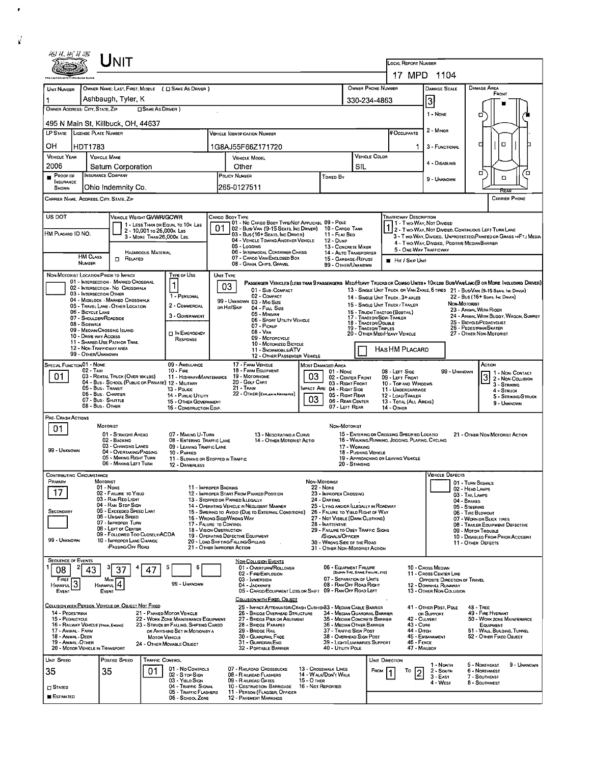| $J$ NIT                                                                                                                                                                                                                                                                                                                                                                                                      |                                                                                                                       |                                                         |                                                                               |                                                                                                                                                         |                                                                                                                                            |                                                                                                          |                                                                             |                                                                                                                             |                                                                                                                        | LOCAL REPORT NUMBER                                                                                                                                     |                                                                                    |                                                                    |                                    |  |  |  |
|--------------------------------------------------------------------------------------------------------------------------------------------------------------------------------------------------------------------------------------------------------------------------------------------------------------------------------------------------------------------------------------------------------------|-----------------------------------------------------------------------------------------------------------------------|---------------------------------------------------------|-------------------------------------------------------------------------------|---------------------------------------------------------------------------------------------------------------------------------------------------------|--------------------------------------------------------------------------------------------------------------------------------------------|----------------------------------------------------------------------------------------------------------|-----------------------------------------------------------------------------|-----------------------------------------------------------------------------------------------------------------------------|------------------------------------------------------------------------------------------------------------------------|---------------------------------------------------------------------------------------------------------------------------------------------------------|------------------------------------------------------------------------------------|--------------------------------------------------------------------|------------------------------------|--|--|--|
| 17 MPD 1104<br>OWNER PHONE NUMBER<br>DAMAGE AREA<br>OWNER NAME: LAST, FIRST, MIDDLE ( C SAME AS DRIVER )<br>DAMAGE SCALE<br>UNIT NUMBER                                                                                                                                                                                                                                                                      |                                                                                                                       |                                                         |                                                                               |                                                                                                                                                         |                                                                                                                                            |                                                                                                          |                                                                             |                                                                                                                             |                                                                                                                        |                                                                                                                                                         |                                                                                    |                                                                    |                                    |  |  |  |
|                                                                                                                                                                                                                                                                                                                                                                                                              | Ashbaugh, Tyler, K                                                                                                    |                                                         |                                                                               |                                                                                                                                                         |                                                                                                                                            |                                                                                                          |                                                                             |                                                                                                                             | 330-234-4863                                                                                                           |                                                                                                                                                         | 3                                                                                  |                                                                    | FRONT                              |  |  |  |
| OWNER ADDRESS: CITY, STATE, ZIP                                                                                                                                                                                                                                                                                                                                                                              |                                                                                                                       | □ SAME AS DRIVER )                                      |                                                                               |                                                                                                                                                         |                                                                                                                                            |                                                                                                          |                                                                             | 1 - None                                                                                                                    | о                                                                                                                      |                                                                                                                                                         |                                                                                    |                                                                    |                                    |  |  |  |
| 495 N Main St, Killbuck, OH, 44637                                                                                                                                                                                                                                                                                                                                                                           |                                                                                                                       |                                                         |                                                                               |                                                                                                                                                         |                                                                                                                                            |                                                                                                          |                                                                             |                                                                                                                             |                                                                                                                        |                                                                                                                                                         |                                                                                    |                                                                    |                                    |  |  |  |
| LP STATE LICENSE PLATE NUMBER                                                                                                                                                                                                                                                                                                                                                                                |                                                                                                                       |                                                         |                                                                               |                                                                                                                                                         | <b>VEHICLE IDENTIFICATION NUMBER</b>                                                                                                       | 2 - Minon<br># OCCUPANTS                                                                                 |                                                                             |                                                                                                                             |                                                                                                                        |                                                                                                                                                         |                                                                                    |                                                                    |                                    |  |  |  |
| OH<br>HDT1783<br><b>VEHICLE YEAR</b>                                                                                                                                                                                                                                                                                                                                                                         | <b>VEHICLE MAKE</b>                                                                                                   |                                                         |                                                                               | 1G8AJ55F66Z171720                                                                                                                                       |                                                                                                                                            |                                                                                                          |                                                                             |                                                                                                                             |                                                                                                                        | о<br>п<br>3 - FUNCTIONAL<br>1<br><b>VEHICLE COLOR</b>                                                                                                   |                                                                                    |                                                                    |                                    |  |  |  |
| 2006                                                                                                                                                                                                                                                                                                                                                                                                         | Saturn Corporation                                                                                                    |                                                         |                                                                               | <b>VEHICLE MODEL</b><br>Other                                                                                                                           |                                                                                                                                            |                                                                                                          |                                                                             | <b>SIL</b>                                                                                                                  |                                                                                                                        |                                                                                                                                                         | 4 - Disabling                                                                      |                                                                    |                                    |  |  |  |
| PROOF OF<br><b>INSURANCE</b><br>SHOWN                                                                                                                                                                                                                                                                                                                                                                        | <b>INSURANCE COMPANY</b><br>Ohio Indemnity Co.                                                                        |                                                         |                                                                               | POLICY NUMBER<br>Towed By<br>265-0127511                                                                                                                |                                                                                                                                            |                                                                                                          |                                                                             |                                                                                                                             |                                                                                                                        |                                                                                                                                                         | 9 - UNKNOWN                                                                        | □                                                                  | Έ<br>a                             |  |  |  |
| <b>CARRIER PHONE</b><br>CARRIER NAME, AODRESS, CITY, STATE, ZIP                                                                                                                                                                                                                                                                                                                                              |                                                                                                                       |                                                         |                                                                               |                                                                                                                                                         |                                                                                                                                            |                                                                                                          |                                                                             |                                                                                                                             |                                                                                                                        |                                                                                                                                                         |                                                                                    |                                                                    |                                    |  |  |  |
| US DOT<br><b>TRAFFICWAY DESCRIPTION</b><br>VEHICLE WEIGHT GVWR/GCWR<br>Cargo Booy Type<br>01 - No CARGO BOOY TYPE/NOT APPLICABL 09 - POLE<br>1 1 - Two Way, Not Divided<br>1 - LESS THAN OR EQUAL TO 10K LBS                                                                                                                                                                                                 |                                                                                                                       |                                                         |                                                                               |                                                                                                                                                         |                                                                                                                                            |                                                                                                          |                                                                             |                                                                                                                             |                                                                                                                        |                                                                                                                                                         |                                                                                    |                                                                    |                                    |  |  |  |
| HM PLACARD ID NO.                                                                                                                                                                                                                                                                                                                                                                                            |                                                                                                                       | 2 - 10.001 to 26.000k Las<br>3 - MORE THAN 26,000K LBS. |                                                                               | 01                                                                                                                                                      | 02 - Busi Van (9-15 Seats, Inc Driver)<br>03 - Bus (16+ Seats, Inc Driver)                                                                 |                                                                                                          | 10 - CARGO TANK<br>11 - FLAT BED                                            |                                                                                                                             | 2 - Two-Way, Not Divided, Continuous Left Turn Lane<br>3 - Two-Way, Divided. Unprotected(Painted or Grass >4FT.) Media |                                                                                                                                                         |                                                                                    |                                                                    |                                    |  |  |  |
|                                                                                                                                                                                                                                                                                                                                                                                                              |                                                                                                                       |                                                         |                                                                               |                                                                                                                                                         | 04 - VEHICLE TOWING ANOTHER VEHICLE<br>05 - Logging<br>06 - INTERMODAL CONTAINER CHASIS                                                    |                                                                                                          | $12 - D$ ump<br>13 - CONCRETE MIXER                                         |                                                                                                                             |                                                                                                                        | 5 - ONE-WAY TRAFFICWAY                                                                                                                                  | 4 - Two-Way, Divideo, Positive Median Barrier                                      |                                                                    |                                    |  |  |  |
| <b>HM CLASS</b><br>NUMBER                                                                                                                                                                                                                                                                                                                                                                                    | $\Box$ Related                                                                                                        | HAZAROOUS MATERIAL                                      |                                                                               |                                                                                                                                                         | 07 - CARGO VAN ENCLOSED BOX<br>08 - Grain, Chips, Gravel                                                                                   |                                                                                                          | 14 - AUTO TRANSPORTER<br>15 - GARBAGE/REFUSE<br>99 - OTHER/UNKNDWN          |                                                                                                                             |                                                                                                                        | <b>HI HIT / SKIP UNIT</b>                                                                                                                               |                                                                                    |                                                                    |                                    |  |  |  |
| NON-MOTORIST LOCATION PRIOR TO IMPACT                                                                                                                                                                                                                                                                                                                                                                        | 01 - INTERSECTION - MARKED CROSSWAL                                                                                   |                                                         | TYPE OF USE                                                                   |                                                                                                                                                         | UNIT TYPE<br>PASSENGER VEHICLES (LESS THAN 9 PASSENGERS MED/HEAVY TRUCKS OR COMBO UNITS > 10K LBS BUS/VAN/LIMO(9 OR MORE INCLUDING DRIVER) |                                                                                                          |                                                                             |                                                                                                                             |                                                                                                                        |                                                                                                                                                         |                                                                                    |                                                                    |                                    |  |  |  |
|                                                                                                                                                                                                                                                                                                                                                                                                              | 02 - INTERSECTION - NO CROSSWALK<br>03 - INTERSECTION OTHER                                                           |                                                         | 1<br>1 - PERSONAL                                                             |                                                                                                                                                         | 03<br>01 - Sub-COMPACT<br>02 - COMPACT                                                                                                     |                                                                                                          |                                                                             |                                                                                                                             |                                                                                                                        |                                                                                                                                                         | 13 - SINGLE UNIT TRUCK OR VAN ZAXLE, 6 TIRES 21 - BUS/VAN (9-15 SEATS, INC DIRVER) | 22 - Bus (16+ Sears, Inc. Draver)                                  |                                    |  |  |  |
|                                                                                                                                                                                                                                                                                                                                                                                                              | 04 - MIOBLOCK - MARKEO CROSSWALK<br>05 - TRAVEL LANE - OTHER LOCATION                                                 |                                                         | 2 - COMMERCIAL                                                                |                                                                                                                                                         | 99 - UNKNOWN 03 - MIO SIZE<br>ов Hit/Skip<br>04 - FULL SIZE                                                                                |                                                                                                          |                                                                             |                                                                                                                             |                                                                                                                        | 14 - SINGLE UNIT TRUCK: 3+ AXLES<br>15 - SINGLE UNIT TRUCK / TRAILER                                                                                    |                                                                                    | Non-Motorist                                                       |                                    |  |  |  |
| 06 - BICYCLE LANE<br>05 - MINIVAN<br>3 - Government<br>07 - SHOULDER/ROADSIDE<br>06 - Sport Utility Vehicle<br>18 - Tractor/Double<br>08 - Sidewalk                                                                                                                                                                                                                                                          |                                                                                                                       |                                                         |                                                                               |                                                                                                                                                         |                                                                                                                                            |                                                                                                          |                                                                             |                                                                                                                             |                                                                                                                        | 23 - ANIMAL WITH RIDER<br>16 - Твиск/Твастов (Возтал.)<br>24 - ANIMAL WITH BUGGY, WAGON, SURREY<br>17 - TRACTOR/SEMI TRALER<br>25 - BICYCLE/PEDACYCLIST |                                                                                    |                                                                    |                                    |  |  |  |
| 10 - DRIVE WAY ACCESS                                                                                                                                                                                                                                                                                                                                                                                        | 09 - MEOIAN/CROSSING ISLAND                                                                                           |                                                         | <b>DIN EMERGENCY</b>                                                          | 07 - Pickup<br>08 - VAN<br>09 - MOTORCYCLE                                                                                                              |                                                                                                                                            |                                                                                                          |                                                                             |                                                                                                                             | 26 - PEDESTRIAN/SKATER<br>19 - TRACTOR/TRIPLES<br>20 - OTHER MEDIHEAVY VEHICLE<br>27 - OTHER NON-MOTORIST              |                                                                                                                                                         |                                                                                    |                                                                    |                                    |  |  |  |
|                                                                                                                                                                                                                                                                                                                                                                                                              | 11 - SHARED-USE PATH OR TRAIL<br>12 - NON-TRAFFICWAY AREA                                                             |                                                         | RESPONSE                                                                      | 10 - MOTORIZED BICYCLE<br>11 - SNOWMOBILE/ATV                                                                                                           |                                                                                                                                            |                                                                                                          |                                                                             |                                                                                                                             |                                                                                                                        | Has HM Placard                                                                                                                                          |                                                                                    |                                                                    |                                    |  |  |  |
| 99 - OTHER/UNKNOWN<br>12 - OTHER PASSENGER VEHICLE<br><b>SPECIAL FUNCTION 01 - NONE</b><br>09 - AMBULANCE<br>17 - FARM VEHICLE<br>ACTION<br><b>MOST DAMAGED AREA</b>                                                                                                                                                                                                                                         |                                                                                                                       |                                                         |                                                                               |                                                                                                                                                         |                                                                                                                                            |                                                                                                          |                                                                             |                                                                                                                             |                                                                                                                        |                                                                                                                                                         |                                                                                    |                                                                    |                                    |  |  |  |
| 02 - Taxi<br>01                                                                                                                                                                                                                                                                                                                                                                                              | 03 - RENTAL TRUCK (OVER 10K LBS)                                                                                      |                                                         | $10 -$ Fine<br>11 - HIGHWAY/MAINTENANCE                                       | 18 - FARM EQUIPMENT<br>$01 - None$<br>03<br>19 - Мотояноме<br>02 - CENTER FRONT                                                                         |                                                                                                                                            |                                                                                                          |                                                                             |                                                                                                                             |                                                                                                                        | 08 - LEFT SIDE<br>99 - UNKNOWN<br>1 - Non-CONTACT<br>3<br>09 - LEFT FRONT<br>2 - Non-Collision                                                          |                                                                                    |                                                                    |                                    |  |  |  |
| 04 - Bus - SCHOOL (PUBLIC OR PRIVATE) 12 - MILITARY<br>20 - Golf Cart<br>03 - RIGHT FRONT<br>10 - TOP AND WINDOWS<br>21 - Train<br>05 - Bus - Transit<br>MPACT ARE 04 - RIGHT SIDE<br>13 - Pouce<br>11 - UNDERCARRIAGE                                                                                                                                                                                       |                                                                                                                       |                                                         |                                                                               |                                                                                                                                                         |                                                                                                                                            |                                                                                                          |                                                                             |                                                                                                                             |                                                                                                                        | 3 - STRIKING<br>4 - STRUCK                                                                                                                              |                                                                                    |                                                                    |                                    |  |  |  |
|                                                                                                                                                                                                                                                                                                                                                                                                              | 06 - Bus - Charter<br>07 - Bus - SHUTTLE                                                                              |                                                         | 14 - Public Utility<br>15 - OTHER GOVERNMENT                                  |                                                                                                                                                         | 22 - OTHER (EXPLANIN NARRATIVE)                                                                                                            | 03                                                                                                       | 05 - RIGHT REAR<br>06 - REAR CENTER                                         |                                                                                                                             |                                                                                                                        | 12 - LOAD/TRAILER<br>13 - TOTAL (ALL AREAS)                                                                                                             |                                                                                    |                                                                    | 5 - STRIKING/STRUCK<br>9 - UNKNOWN |  |  |  |
| PRE- CRASH ACTIONS                                                                                                                                                                                                                                                                                                                                                                                           | 08 - Bus - Other<br>07 - LEFT REAR<br>16 - CONSTRUCTION EOIP.<br>14 - Отнев                                           |                                                         |                                                                               |                                                                                                                                                         |                                                                                                                                            |                                                                                                          |                                                                             |                                                                                                                             |                                                                                                                        |                                                                                                                                                         |                                                                                    |                                                                    |                                    |  |  |  |
| 01                                                                                                                                                                                                                                                                                                                                                                                                           | MOTORIST                                                                                                              |                                                         |                                                                               |                                                                                                                                                         |                                                                                                                                            |                                                                                                          | NON-MOTORIST                                                                |                                                                                                                             |                                                                                                                        |                                                                                                                                                         |                                                                                    |                                                                    |                                    |  |  |  |
|                                                                                                                                                                                                                                                                                                                                                                                                              | 01 - STRAIGHT AHEAD<br>02 - BACKING<br>03 - CHANGING LANES                                                            |                                                         | 07 - MAKING U-TURN<br>08 - ENTERING TRAFFIC LANE<br>09 - LEAVING TRAFFIC LANE |                                                                                                                                                         | 13 - NEGOTIATING A CURVE<br>14 - OTHER MOTORIST ACTIO                                                                                      |                                                                                                          |                                                                             | 17 - WORKING                                                                                                                |                                                                                                                        | 15 - ENTERING OR CROSSING SPECIFIED LOCATIO<br>16 - WALKING, RUNNING, JOGGING, PLAYING, CYCLING                                                         |                                                                                    |                                                                    | 21 - OTHER NON-MOTORIST ACTION     |  |  |  |
| 99 - UNKNOWN                                                                                                                                                                                                                                                                                                                                                                                                 | 04 - OVERTAKING/PASSING<br>05 - MAKING RIGHT TURN                                                                     |                                                         | 10 - PARKED<br>11 - Slowing or Stopped in Traffic                             |                                                                                                                                                         |                                                                                                                                            |                                                                                                          |                                                                             | 18 - PUSHING VEHICLE                                                                                                        |                                                                                                                        | 19 - APPROACHING OR LEAVING VEHICLE                                                                                                                     |                                                                                    |                                                                    |                                    |  |  |  |
| <b>CONTRIBUTING CIRCUMSTANCE</b>                                                                                                                                                                                                                                                                                                                                                                             | 06 - MAKING LEFT TURN                                                                                                 |                                                         | 12 - DRIVERLESS                                                               |                                                                                                                                                         |                                                                                                                                            |                                                                                                          |                                                                             | 20 - STANDING                                                                                                               |                                                                                                                        |                                                                                                                                                         | <b>VEHICLE DEFECTS</b>                                                             |                                                                    |                                    |  |  |  |
| Primary                                                                                                                                                                                                                                                                                                                                                                                                      | MOTORIST<br>$01 - None$                                                                                               |                                                         | 11 - IMPROPER BACKING                                                         |                                                                                                                                                         |                                                                                                                                            | NON-MOTORIST<br><b>22 - NONE</b>                                                                         |                                                                             |                                                                                                                             |                                                                                                                        |                                                                                                                                                         |                                                                                    | 01 - TURN SIGNALS<br>02 - HEAD LAMPS                               |                                    |  |  |  |
| 17                                                                                                                                                                                                                                                                                                                                                                                                           | 02 - FAILURE TO YIELD<br>03 - RAN RED LIGHT                                                                           |                                                         |                                                                               | 12 - IMPROPER START FROM PARKED POSITION<br>23 - IMPROPER CROSSING<br>24 - DARTING<br>13 - STOPPEO OR PARKED LLEGALLY                                   |                                                                                                                                            |                                                                                                          |                                                                             |                                                                                                                             |                                                                                                                        | 03 - TAIL LAMPS<br>04 - BRAKES                                                                                                                          |                                                                                    |                                                                    |                                    |  |  |  |
| SECONDARY                                                                                                                                                                                                                                                                                                                                                                                                    | 04 - RAN STOP SIGN<br>05 - Exceeded Speed Limit                                                                       |                                                         |                                                                               |                                                                                                                                                         | 14 - OPERATING VEHICLE IN NEGLIGENT MANNER<br>15 - SWERING TO AVOIO (DUE TO EXTERNAL CONDITIONS)                                           |                                                                                                          | 25 - LYING AND/OR ILLEGALLY IN ROADWAY<br>26 - FALURE TO YIELD RIGHT OF WAY |                                                                                                                             | 05 - STEERING<br>06 - TIRE BLOWOUT                                                                                     |                                                                                                                                                         |                                                                                    |                                                                    |                                    |  |  |  |
|                                                                                                                                                                                                                                                                                                                                                                                                              | 06 - Unsafe Speed<br>07 - IMPROPER TURN<br>08 - LEFT OF CENTER                                                        |                                                         |                                                                               | 16 - WRONG SIDE/WRONG WAY<br>27 - NOT VISBLE (DARK CLOTHING)<br>17 - FALURE TO CONTROL<br>28 - INATTENTIVE<br>29 - FAILURE TO OBEY TRAFFIC SIGNS        |                                                                                                                                            |                                                                                                          |                                                                             |                                                                                                                             |                                                                                                                        |                                                                                                                                                         | 07 - WORN OR SLICK TIRES<br>08 - TRAILER EQUIPMENT DEFECTIVE                       |                                                                    |                                    |  |  |  |
| 99 - Unknown                                                                                                                                                                                                                                                                                                                                                                                                 | 09 - Followeo Too Closely/ACDA<br>10 - IMPROPER LANE CHANGE                                                           |                                                         |                                                                               | 18 - VISION OBSTRUCTION<br>19 - OPERATING DEFECTIVE EQUIPMENT<br>/SIGNALS/OFFICER<br>20 - LOAD SHIFTING/FALLING/SPILLING<br>30 - WRONG SIDE OF THE ROAD |                                                                                                                                            |                                                                                                          |                                                                             |                                                                                                                             |                                                                                                                        | 09 - MOTOR TROUBLE<br>10 - DISABLED FROM PRIOR ACCIDENT                                                                                                 |                                                                                    |                                                                    |                                    |  |  |  |
|                                                                                                                                                                                                                                                                                                                                                                                                              | /PASSING/OFF ROAD                                                                                                     |                                                         |                                                                               |                                                                                                                                                         | 21 - OTHER IMPROPER ACTION                                                                                                                 |                                                                                                          | 31 - OTHER NON-MOTORIST ACTION                                              |                                                                                                                             |                                                                                                                        |                                                                                                                                                         |                                                                                    | 11 - OTHER DEFECTS                                                 |                                    |  |  |  |
| <b>SEQUENCE OF EVENTS</b><br>08<br>43                                                                                                                                                                                                                                                                                                                                                                        | 37                                                                                                                    |                                                         |                                                                               |                                                                                                                                                         | <b>NON-COLLISION EVENTS</b><br>01 - OVERTURN/ROLLDVER                                                                                      |                                                                                                          | 06 - EQUIPMENT FAILURE                                                      |                                                                                                                             |                                                                                                                        |                                                                                                                                                         | 10 - Cross Median                                                                  |                                                                    |                                    |  |  |  |
| FIRST                                                                                                                                                                                                                                                                                                                                                                                                        | Most                                                                                                                  |                                                         | 99 - UNKNOWN                                                                  |                                                                                                                                                         | 02 - FIRE/EXPLOSION<br>03 - IMMERSION                                                                                                      |                                                                                                          | 07 - SEPARATION DF UNITS                                                    | (BLOWN TIRE, BRAKE FAILURE, ETC)                                                                                            |                                                                                                                        |                                                                                                                                                         | 11 - CROSS CENTER LINE<br>OPPOSITE DIRECTION OF TRAVEL                             |                                                                    |                                    |  |  |  |
| 3<br><b>HARMFUL</b><br>EVENT                                                                                                                                                                                                                                                                                                                                                                                 | HARMFUL <sup>4</sup><br>Event                                                                                         |                                                         |                                                                               |                                                                                                                                                         | 04 - JACKKNIFE<br>05 CARGO/EQUIPMENT LOSS OR SHIFT                                                                                         |                                                                                                          | 08 - RAN OFF ROAD RIGHT<br>09 - RAN OFF ROAD LEFT                           |                                                                                                                             |                                                                                                                        |                                                                                                                                                         | 12 - DOWNHILL RUNAWAY<br>13 - OTHER NON-COLLISION                                  |                                                                    |                                    |  |  |  |
| COLLISION WITH PERSON, VEHICLE OR OBJECT NOT FIXED                                                                                                                                                                                                                                                                                                                                                           |                                                                                                                       |                                                         |                                                                               |                                                                                                                                                         | COLLISION WITH FIXED, OBJECT<br>25 - IMPACT ATTENUATOR/CRASH CUSHION33 - MEDIAN CABLE BARRIER                                              |                                                                                                          |                                                                             |                                                                                                                             |                                                                                                                        |                                                                                                                                                         | 41 - OTHER POST, POLE                                                              | $48 -$ TREE                                                        |                                    |  |  |  |
| 14 - PEDESTRIAN<br>21 - PARKED MOTOR VEHICLE<br>26 - BRIDGE OVERHEAD STRUCTURE<br>34 - MEDIAN GUARDRAIL BARRIER<br>49 - FIRE HYDRANT<br>OR SUPPORT<br>15 - PEDALCYCLE<br>22 - WORK ZONE MAINTENANCE EQUIPMENT<br>27 - BRIDGE PIER OR ASUTMENT<br>35 - MEDIAN CONCRETE BARRIER<br>42 - CULVERT<br>50 - WORK ZONE MAINTENANCE<br>16 - RAILWAY VEHICLE (TRAN, ENGINE)<br>23 - STRUCK BY FALLING, SHIFTING CARGO |                                                                                                                       |                                                         |                                                                               |                                                                                                                                                         |                                                                                                                                            |                                                                                                          |                                                                             |                                                                                                                             |                                                                                                                        |                                                                                                                                                         |                                                                                    |                                                                    |                                    |  |  |  |
| 17 - Anmal - Farm<br>18 - ANIMAL - DEER                                                                                                                                                                                                                                                                                                                                                                      |                                                                                                                       | <b>MOTOR VEHICLE</b>                                    | OR ANYTHING SET IN MOTION BY A                                                | 28 - BRIDGE PARAPET<br>29 - BRIDGE RAIL<br>30 - GUARDRAIL FACE                                                                                          |                                                                                                                                            |                                                                                                          |                                                                             | 36 - MEDIAN OTHER BARRIER<br>43 - Cuna<br>37 - TRAFFIC SIGN POST<br>44 - Опсн<br>38 - OVERHEAD SIGN POST<br>45 - EMBANKMENT |                                                                                                                        |                                                                                                                                                         |                                                                                    | EQUIPMENT<br>51 - WALL, BULDING, TUNNEL<br>52 - OTHER FIXED OBJECT |                                    |  |  |  |
| 19 - ANIMAL - OTHER<br>31 - GUARDRAILEND<br>39 - LIGHT/LUMINARIES SUPPORT<br>46 - FENCE<br>24 - OTHER MOVABLE OBJECT<br>20 - MOTOR VEHICLE IN TRANSPORT<br>32 - PORTABLE BARRIER<br>40 - UTILITY POLE<br>47 - MAILBOX                                                                                                                                                                                        |                                                                                                                       |                                                         |                                                                               |                                                                                                                                                         |                                                                                                                                            |                                                                                                          |                                                                             |                                                                                                                             |                                                                                                                        |                                                                                                                                                         |                                                                                    |                                                                    |                                    |  |  |  |
| UNIT SPEED                                                                                                                                                                                                                                                                                                                                                                                                   | POSTED SPEED                                                                                                          | <b>TRAFFIC CONTROL</b>                                  |                                                                               |                                                                                                                                                         |                                                                                                                                            |                                                                                                          |                                                                             |                                                                                                                             | UNIT DIRECTION                                                                                                         |                                                                                                                                                         | 1 - North                                                                          | 5 - NORTHEAST                                                      | 9 - Unknown                        |  |  |  |
| 35                                                                                                                                                                                                                                                                                                                                                                                                           | 01 - No CONTROLS<br>07 - RAILROAD CROSSBUCKS<br>35<br>01<br>02 - S TOP SIGN<br>08 - R AILRDAD FLASHERS<br>15 - О тнев |                                                         |                                                                               |                                                                                                                                                         |                                                                                                                                            | 13 - Crosswalk Lines<br>FROM<br>То<br>2 - South<br>$\overline{2}$<br>14 - W ALK/DON'T WALK<br>$3 - EAST$ |                                                                             |                                                                                                                             |                                                                                                                        | 6 - NORTHWEST<br>7 - SOUTHEAST                                                                                                                          |                                                                                    |                                                                    |                                    |  |  |  |
| $\square$ Stated                                                                                                                                                                                                                                                                                                                                                                                             |                                                                                                                       |                                                         | 03 - YIELO SIGN<br>04 - Traffic Signal<br>05 - TRAFFIC FLASHERS               |                                                                                                                                                         | 09 - RALROAD GATES<br>10 - Costruction Barricade<br>11 - PERSON (FLAGGER, OFFICER                                                          | 16 - Not Reported                                                                                        |                                                                             |                                                                                                                             |                                                                                                                        |                                                                                                                                                         | 4 - West                                                                           | 8 - SOUTHWEST                                                      |                                    |  |  |  |
| <b>ESTIMATED</b>                                                                                                                                                                                                                                                                                                                                                                                             |                                                                                                                       |                                                         | 06 - SCHOOL ZONE                                                              |                                                                                                                                                         | <b>12 - PAVEMENT MARKINGS</b>                                                                                                              |                                                                                                          |                                                                             |                                                                                                                             |                                                                                                                        |                                                                                                                                                         |                                                                                    |                                                                    |                                    |  |  |  |

 $\bullet$